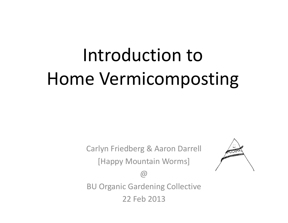# Introduction to Home Vermicomposting

Carlyn Friedberg & Aaron Darrell[Happy Mountain Worms]@ BU Organic Gardening Collective

22 Feb 2013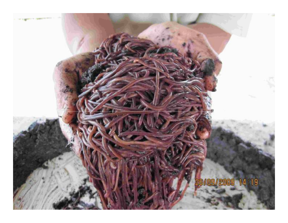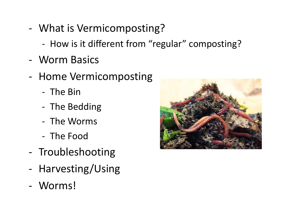- - What is Vermicomposting?
	- -How is it different from "regular" composting?
- -Worm Basics
- - Home Vermicomposting
	- -The Bin
	- -- The Bedding
	- -The Worms
	- -The Food
- -Troubleshooting
- -Harvesting/Using
- -Worms!

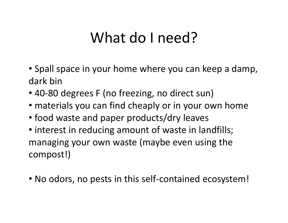#### What do I need?

- Spall space in your home where you can keep a damp, dark bin
- 40-80 degrees F (no freezing, no direct sun)
- materials you can find cheaply or in your own home
- food waste and paper products/dry leaves
- interest in reducing amount of waste in landfills; managing your own waste (maybe even using the compost!)
- No odors, no pests in this self-contained ecosystem!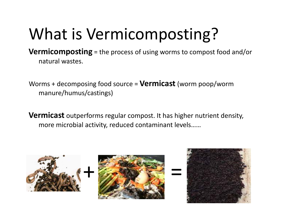# What is Vermicomposting?

**Vermicomposting** = the process of using worms to compost food and/or natural wastes.

Worms + decomposing food source = **Vermicast** (worm poop/worm manure/humus/castings)

**Vermicast** outperforms regular compost. It has higher nutrient density, more microbial activity, reduced contaminant levels……

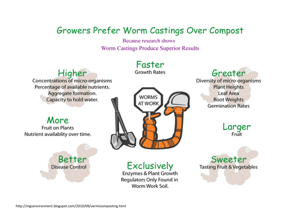#### Growers Prefer Worm Castings Over Compost

Because research shows Worm Castings Produce Superior Results

#### Higher

Concentrations of micro-organisms Percentage of available nutrients. Aggregate formation. Capacity to hold water.

#### More

**Fruit on Plants** Nutrient availablity over time.



Faster **Growth Rates** 



**Exclusively** Enzymes & Plant Growth Requlators Only Found in Worm Work Soil.



Diversity of micro-organisms **Plant Heights Leaf Area Root Weights Germination Rates** 

Larger<br>Fruit

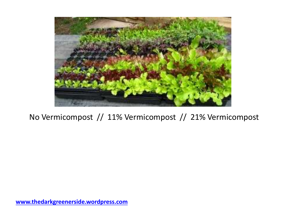

No Vermicompost // 11% Vermicompost // 21% Vermicompost

**www.thedarkgreenerside.wordpress.com**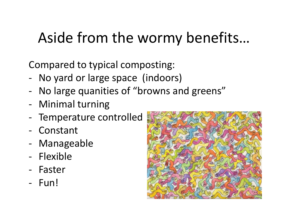## Aside from the wormy benefits…

Compared to typical composting:

- -No yard or large space (indoors)
- -No large quanities of "browns and greens"
- -Minimal turning
- -- Temperature controlled
- -Constant
- -Manageable
- -Flexible
- -Faster
- -Fun!

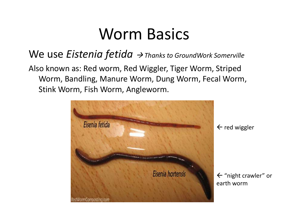### Worm Basics

#### We use *Eistenia fetida Thanks to GroundWork Somerville*

Also known as: Red worm, Red Wiggler, Tiger Worm, Striped Worm, Bandling, Manure Worm, Dung Worm, Fecal Worm, Stink Worm, Fish Worm, Angleworm.

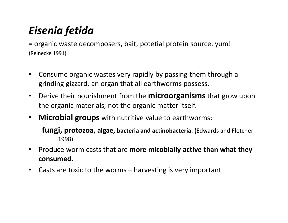#### *Eisenia fetida*

 = organic waste decomposers, bait, potetial protein source. yum! (Reinecke 1991).

- $\bullet$  Consume organic wastes very rapidly by passing them through a grinding gizzard, an organ that all earthworms possess.
- $\bullet$  Derive their nourishment from the **microorganisms**that grow upon the organic materials, not the organic matter itself.
- $\bullet$ **Microbial groups** with nutritive value to earthworms:

**fungi, protozoa, algae, bacteria and actinobacteria. (**Edwards and Fletcher 1998)

- $\bullet$  Produce worm casts that are **more micobially active than what they consumed.**
- $\bullet$ Casts are toxic to the worms – harvesting is very important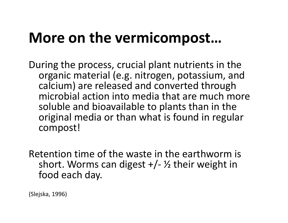### **More on the vermicompost…**

During the process, crucial plant nutrients in the organic material (e.g. nitrogen, potassium, and calcium) are released and converted through microbial action into media that are much more soluble and bioavailable to plants than in the original media or than what is found in regular compost!

Retention time of the waste in the earthworm is short. Worms can digest  $+/-$  % their weight in food each day.

(Slejska, 1996)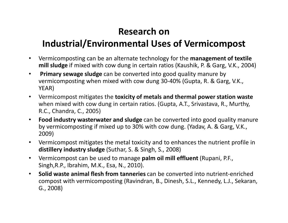#### **Research on**

#### **Industrial/Environmental Uses of Vermicompost**

- $\bullet$  Vermicomposting can be an alternate technology for the **management of textile mill sludge** if mixed with cow dung in certain ratios (Kaushik, P. & Garg, V.K., 2004)
- $\bullet$  **Primary sewage sludge** can be converted into good quality manure by vermicomposting when mixed with cow dung 30-40% (Gupta, R. & Garg, V.K., YEAR)
- • Vermicompost mitigates the **toxicity of metals and thermal power station waste**  when mixed with cow dung in certain ratios. (Gupta, A.T., Srivastava, R., Murthy, R.C., Chandra, C., 2005)
- $\bullet$ **Food industry wasterwater and sludge** can be converted into good quality manure by vermicomposting if mixed up to 30% with cow dung. (Yadav, A. & Garg, V.K., 2009)
- $\bullet$  Vermicompost mitigates the metal toxicity and to enhances the nutrient profile in **distillery industry sludge** (Suthar, S. & Singh, S., 2008)
- $\bullet$  Vermicompost can be used to manage **palm oil mill effluent** (Rupani, P.F., Singh,R.P., Ibrahim, M.K., Esa, N., 2010).
- • **Solid waste animal flesh from tanneries** can be converted into nutrient-enriched compost with vermicomposting (Ravindran, B., Dinesh, S.L., Kennedy, L.J., Sekaran, G., 2008)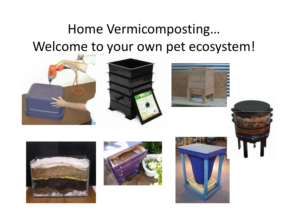#### Home Vermicomposting… Welcome to your own pet ecosystem!











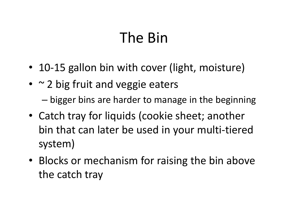## The Bin

- 10-15 gallon bin with cover (light, moisture)
- $\sim$  2 big fruit and veggie eaters

bigger bins are harder to manage in the beginning

- Catch tray for liquids (cookie sheet; another bin that can later be used in your multi-tiered system)
- Blocks or mechanism for raising the bin above the catch tray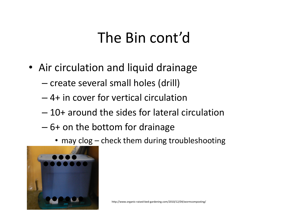### The Bin cont'd

- Air circulation and liquid drainage
	- $-$  create several small holes (drill)
	- 4+ in cover for vertical circulation
	- 10+ around the sides for lateral circulation
	- 6+ on the bottom for drainage
		- may clog check them during troubleshooting



http://www.organic-raised-bed-gardening.com/2010/12/04/wormcomposting/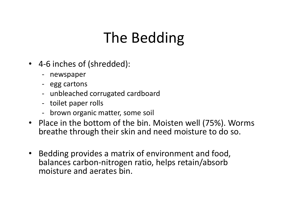## The Bedding

- 4-6 inches of (shredded):
	- newspaper
	- egg cartons
	- unbleached corrugated cardboard
	- toilet paper rolls
	- brown organic matter, some soil
- Place in the bottom of the bin. Moisten well (75%). Worms breathe through their skin and need moisture to do so.
- Bedding provides a matrix of environment and food, balances carbon-nitrogen ratio, helps retain/absorbmoisture and aerates bin.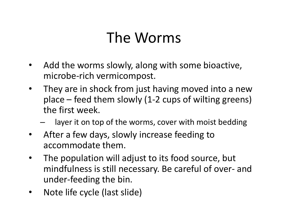#### The Worms

- $\bullet$  Add the worms slowly, along with some bioactive, microbe-rich vermicompost.
- $\bullet$  They are in shock from just having moved into a new place – feed them slowly (1-2 cups of wilting greens) the first week.
	- layer it on top of the worms, cover with moist bedding
- $\bullet$  After a few days, slowly increase feeding to accommodate them.
- $\bullet$  The population will adjust to its food source, but mindfulness is still necessary. Be careful of over- and under-feeding the bin.
- $\bullet$ Note life cycle (last slide)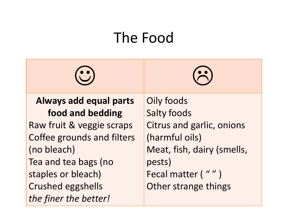#### The Food

| Always add equal parts     | Oily foods                 |  |
|----------------------------|----------------------------|--|
| food and bedding           | <b>Salty foods</b>         |  |
| Raw fruit & veggie scraps  | Citrus and garlic, onions  |  |
| Coffee grounds and filters | (harmful oils)             |  |
| (no bleach)                | Meat, fish, dairy (smells, |  |
| Tea and tea bags (no       | pests)                     |  |
| staples or bleach)         | Fecal matter ("")          |  |
| <b>Crushed eggshells</b>   | Other strange things       |  |
| the finer the better!      |                            |  |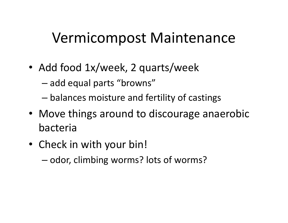#### Vermicompost Maintenance

- Add food 1x/week, 2 quarts/week
	- add equal parts "browns"
	- balances moisture and fertility of castings
- Move things around to discourage anaerobic bacteria
- Check in with your bin!

– odor, climbing worms? lots of worms?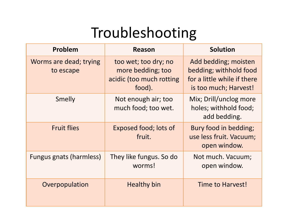#### Troubleshooting

| Problem                             | Reason                                                                          | <b>Solution</b>                                                                                        |
|-------------------------------------|---------------------------------------------------------------------------------|--------------------------------------------------------------------------------------------------------|
| Worms are dead; trying<br>to escape | too wet; too dry; no<br>more bedding; too<br>acidic (too much rotting<br>food). | Add bedding; moisten<br>bedding; withhold food<br>for a little while if there<br>is too much; Harvest! |
| Smelly                              | Not enough air; too<br>much food; too wet.                                      | Mix; Drill/unclog more<br>holes; withhold food;<br>add bedding.                                        |
| <b>Fruit flies</b>                  | Exposed food; lots of<br>fruit.                                                 | Bury food in bedding;<br>use less fruit. Vacuum;<br>open window.                                       |
| Fungus gnats (harmless)             | They like fungus. So do<br>worms!                                               | Not much. Vacuum;<br>open window.                                                                      |
| Overpopulation                      | <b>Healthy bin</b>                                                              | Time to Harvest!                                                                                       |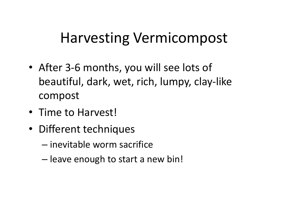#### Harvesting Vermicompost

- After 3-6 months, you will see lots of beautiful, dark, wet, rich, lumpy, clay-like compost
- Time to Harvest!
- Different techniques
	- $-$  inevitable worm sacrifice
	- leave enough to start a new bin!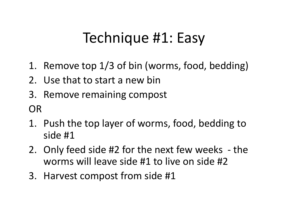### Technique #1: Easy

- 1. Remove top 1/3 of bin (worms, food, bedding)
- 2. Use that to start a new bin
- 3. Remove remaining compost

OR

- 1. Push the top layer of worms, food, bedding to side #1
- 2. Only feed side #2 for the next few weeks the worms will leave side #1 to live on side #2
- 3. Harvest compost from side #1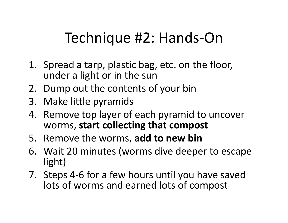#### Technique #2: Hands-On

- 1. Spread a tarp, plastic bag, etc. on the floor, under a light or in the sun
- 2. Dump out the contents of your bin
- 3. Make little pyramids
- 4. Remove top layer of each pyramid to uncover worms, **start collecting that compost**
- 5. Remove the worms, **add to new bin**
- 6. Wait 20 minutes (worms dive deeper to escape light)
- 7. Steps 4-6 for a few hours until you have saved lots of worms and earned lots of compost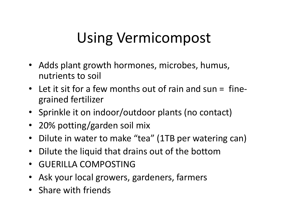### Using Vermicompost

- Adds plant growth hormones, microbes, humus, nutrients to soil
- Let it sit for a few months out of rain and sun = finegrained fertilizer
- Sprinkle it on indoor/outdoor plants (no contact)
- 20% potting/garden soil mix
- Dilute in water to make "tea" (1TB per watering can)
- $\bullet$ Dilute the liquid that drains out of the bottom
- GUERILLA COMPOSTING
- Ask your local growers, gardeners, farmers
- Share with friends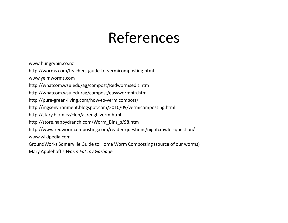#### References

www.hungrybin.co.nz

http://worms.com/teachers-guide-to-vermicomposting.html

www.yelmworms.com

http://whatcom.wsu.edu/ag/compost/Redwormsedit.htm

http://whatcom.wsu.edu/ag/compost/easywormbin.htm

http://pure-green-living.com/how-to-vermicompost/

http://mgsenvironment.blogspot.com/2010/09/vermicomposting.html

http://stary.biom.cz/clen/as/engl\_verm.html

http://store.happydranch.com/Worm\_Bins\_s/98.htm

http://www.redwormcomposting.com/reader-questions/nightcrawler-question/

www.wikipedia.com

GroundWorks Somerville Guide to Home Worm Composting (source of our worms)

Mary Applehoff's *Worm Eat my Garbage*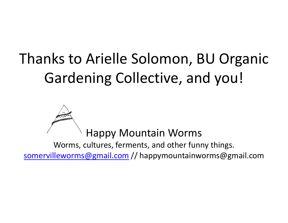## Thanks to Arielle Solomon, BU Organic Gardening Collective, and you!



#### Happy Mountain Worms

Worms, cultures, ferments, and other funny things.

somervilleworms@gmail.com // happymountainworms@gmail.com